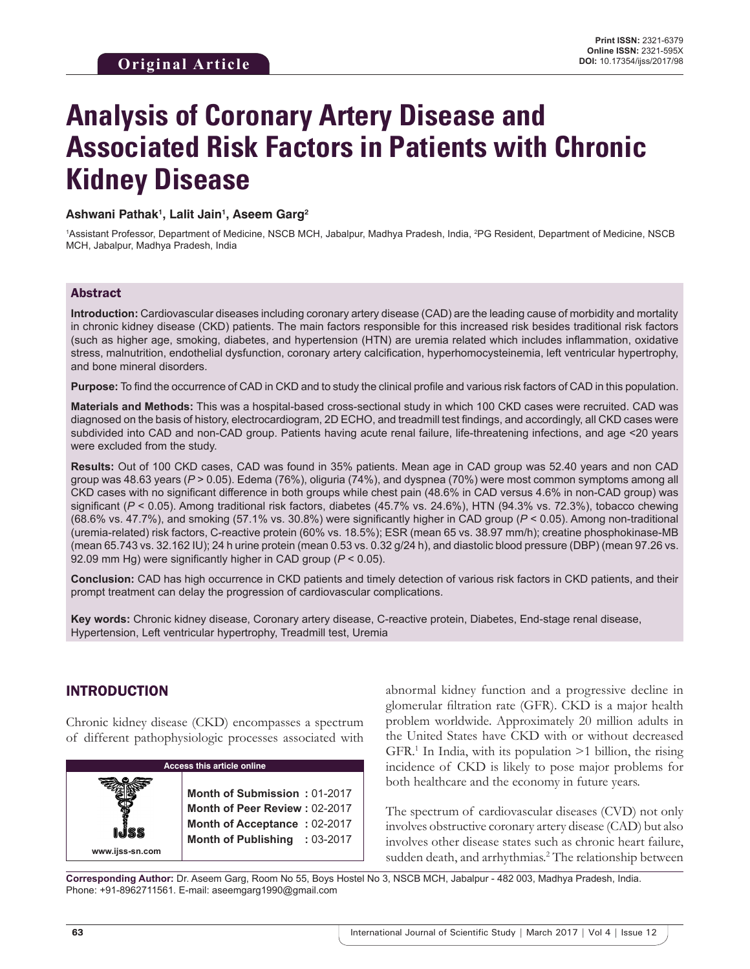# **Analysis of Coronary Artery Disease and Associated Risk Factors in Patients with Chronic Kidney Disease**

#### **Ashwani Pathak1 , Lalit Jain1 , Aseem Garg2**

<sup>1</sup>Assistant Professor, Department of Medicine, NSCB MCH, Jabalpur, Madhya Pradesh, India, <sup>2</sup>PG Resident, Department of Medicine, NSCB MCH, Jabalpur, Madhya Pradesh, India

#### Abstract

**Introduction:** Cardiovascular diseases including coronary artery disease (CAD) are the leading cause of morbidity and mortality in chronic kidney disease (CKD) patients. The main factors responsible for this increased risk besides traditional risk factors (such as higher age, smoking, diabetes, and hypertension (HTN) are uremia related which includes inflammation, oxidative stress, malnutrition, endothelial dysfunction, coronary artery calcification, hyperhomocysteinemia, left ventricular hypertrophy, and bone mineral disorders.

**Purpose:** To find the occurrence of CAD in CKD and to study the clinical profile and various risk factors of CAD in this population.

**Materials and Methods:** This was a hospital-based cross-sectional study in which 100 CKD cases were recruited. CAD was diagnosed on the basis of history, electrocardiogram, 2D ECHO, and treadmill test findings, and accordingly, all CKD cases were subdivided into CAD and non-CAD group. Patients having acute renal failure, life-threatening infections, and age <20 years were excluded from the study.

**Results:** Out of 100 CKD cases, CAD was found in 35% patients. Mean age in CAD group was 52.40 years and non CAD group was 48.63 years (*P* > 0.05). Edema (76%), oliguria (74%), and dyspnea (70%) were most common symptoms among all CKD cases with no significant difference in both groups while chest pain (48.6% in CAD versus 4.6% in non-CAD group) was significant (*P* < 0.05). Among traditional risk factors, diabetes (45.7% vs. 24.6%), HTN (94.3% vs. 72.3%), tobacco chewing (68.6% vs. 47.7%), and smoking (57.1% vs. 30.8%) were significantly higher in CAD group (*P* < 0.05). Among non-traditional (uremia-related) risk factors, C-reactive protein (60% vs. 18.5%); ESR (mean 65 vs. 38.97 mm/h); creatine phosphokinase-MB (mean 65.743 vs. 32.162 IU); 24 h urine protein (mean 0.53 vs. 0.32 g/24 h), and diastolic blood pressure (DBP) (mean 97.26 vs. 92.09 mm Hg) were significantly higher in CAD group (*P* < 0.05).

**Conclusion:** CAD has high occurrence in CKD patients and timely detection of various risk factors in CKD patients, and their prompt treatment can delay the progression of cardiovascular complications.

**Key words:** Chronic kidney disease, Coronary artery disease, C-reactive protein, Diabetes, End-stage renal disease, Hypertension, Left ventricular hypertrophy, Treadmill test, Uremia

## INTRODUCTION

Chronic kidney disease (CKD) encompasses a spectrum of different pathophysiologic processes associated with

| <b>Access this article online</b> |                                                                                                                                |  |  |
|-----------------------------------|--------------------------------------------------------------------------------------------------------------------------------|--|--|
| www.ijss-sn.com                   | Month of Submission: 01-2017<br>Month of Peer Review: 02-2017<br>Month of Acceptance: 02-2017<br>Month of Publishing : 03-2017 |  |  |

abnormal kidney function and a progressive decline in glomerular filtration rate (GFR). CKD is a major health problem worldwide. Approximately 20 million adults in the United States have CKD with or without decreased GFR.<sup>1</sup> In India, with its population >1 billion, the rising incidence of CKD is likely to pose major problems for both healthcare and the economy in future years.

The spectrum of cardiovascular diseases (CVD) not only involves obstructive coronary artery disease (CAD) but also involves other disease states such as chronic heart failure, sudden death, and arrhythmias.<sup>2</sup> The relationship between

**Corresponding Author:** Dr. Aseem Garg, Room No 55, Boys Hostel No 3, NSCB MCH, Jabalpur - 482 003, Madhya Pradesh, India. Phone: +91-8962711561. E-mail: aseemgarg1990@gmail.com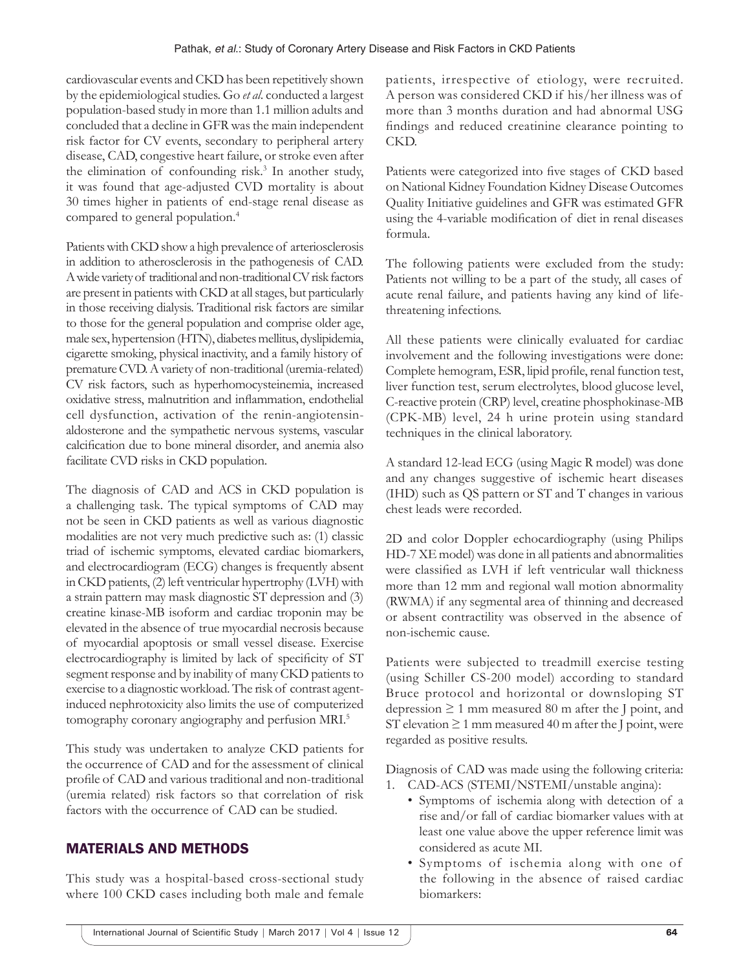cardiovascular events and CKD has been repetitively shown by the epidemiological studies. Go *et al*. conducted a largest population-based study in more than 1.1 million adults and concluded that a decline in GFR was the main independent risk factor for CV events, secondary to peripheral artery disease, CAD, congestive heart failure, or stroke even after the elimination of confounding risk.<sup>3</sup> In another study, it was found that age-adjusted CVD mortality is about 30 times higher in patients of end-stage renal disease as compared to general population.<sup>4</sup>

Patients with CKD show a high prevalence of arteriosclerosis in addition to atherosclerosis in the pathogenesis of CAD. Awide variety of traditional and non-traditional CV risk factors are present in patients with CKD at all stages, but particularly in those receiving dialysis. Traditional risk factors are similar to those for the general population and comprise older age, male sex, hypertension (HTN), diabetes mellitus, dyslipidemia, cigarette smoking, physical inactivity, and a family history of premature CVD. Avariety of non-traditional (uremia-related) CV risk factors, such as hyperhomocysteinemia, increased oxidative stress, malnutrition and inflammation, endothelial cell dysfunction, activation of the renin-angiotensinaldosterone and the sympathetic nervous systems, vascular calcification due to bone mineral disorder, and anemia also facilitate CVD risks in CKD population.

The diagnosis of CAD and ACS in CKD population is a challenging task. The typical symptoms of CAD may not be seen in CKD patients as well as various diagnostic modalities are not very much predictive such as: (1) classic triad of ischemic symptoms, elevated cardiac biomarkers, and electrocardiogram (ECG) changes is frequently absent in CKD patients, (2) left ventricular hypertrophy (LVH) with a strain pattern may mask diagnostic ST depression and (3) creatine kinase-MB isoform and cardiac troponin may be elevated in the absence of true myocardial necrosis because of myocardial apoptosis or small vessel disease. Exercise electrocardiography is limited by lack of specificity of ST segment response and by inability of many CKD patients to exercise to a diagnostic workload. The risk of contrast agentinduced nephrotoxicity also limits the use of computerized tomography coronary angiography and perfusion MRI.<sup>5</sup>

This study was undertaken to analyze CKD patients for the occurrence of CAD and for the assessment of clinical profile of CAD and various traditional and non-traditional (uremia related) risk factors so that correlation of risk factors with the occurrence of CAD can be studied.

# MATERIALS AND METHODS

This study was a hospital-based cross-sectional study where 100 CKD cases including both male and female

patients, irrespective of etiology, were recruited. A person was considered CKD if his/her illness was of more than 3 months duration and had abnormal USG findings and reduced creatinine clearance pointing to CKD.

Patients were categorized into five stages of CKD based on National Kidney Foundation Kidney Disease Outcomes Quality Initiative guidelines and GFR was estimated GFR using the 4-variable modification of diet in renal diseases formula.

The following patients were excluded from the study: Patients not willing to be a part of the study, all cases of acute renal failure, and patients having any kind of lifethreatening infections.

All these patients were clinically evaluated for cardiac involvement and the following investigations were done: Complete hemogram, ESR, lipid profile, renal function test, liver function test, serum electrolytes, blood glucose level, C-reactive protein (CRP) level, creatine phosphokinase-MB (CPK-MB) level, 24 h urine protein using standard techniques in the clinical laboratory.

A standard 12-lead ECG (using Magic R model) was done and any changes suggestive of ischemic heart diseases (IHD) such as QS pattern or ST and T changes in various chest leads were recorded.

2D and color Doppler echocardiography (using Philips HD-7 XE model) was done in all patients and abnormalities were classified as LVH if left ventricular wall thickness more than 12 mm and regional wall motion abnormality (RWMA) if any segmental area of thinning and decreased or absent contractility was observed in the absence of non-ischemic cause.

Patients were subjected to treadmill exercise testing (using Schiller CS-200 model) according to standard Bruce protocol and horizontal or downsloping ST depression  $\geq 1$  mm measured 80 m after the J point, and ST elevation  $\geq 1$  mm measured 40 m after the J point, were regarded as positive results.

Diagnosis of CAD was made using the following criteria: 1. CAD-ACS (STEMI/NSTEMI/unstable angina):

- Symptoms of ischemia along with detection of a rise and/or fall of cardiac biomarker values with at least one value above the upper reference limit was considered as acute MI.
- Symptoms of ischemia along with one of the following in the absence of raised cardiac biomarkers: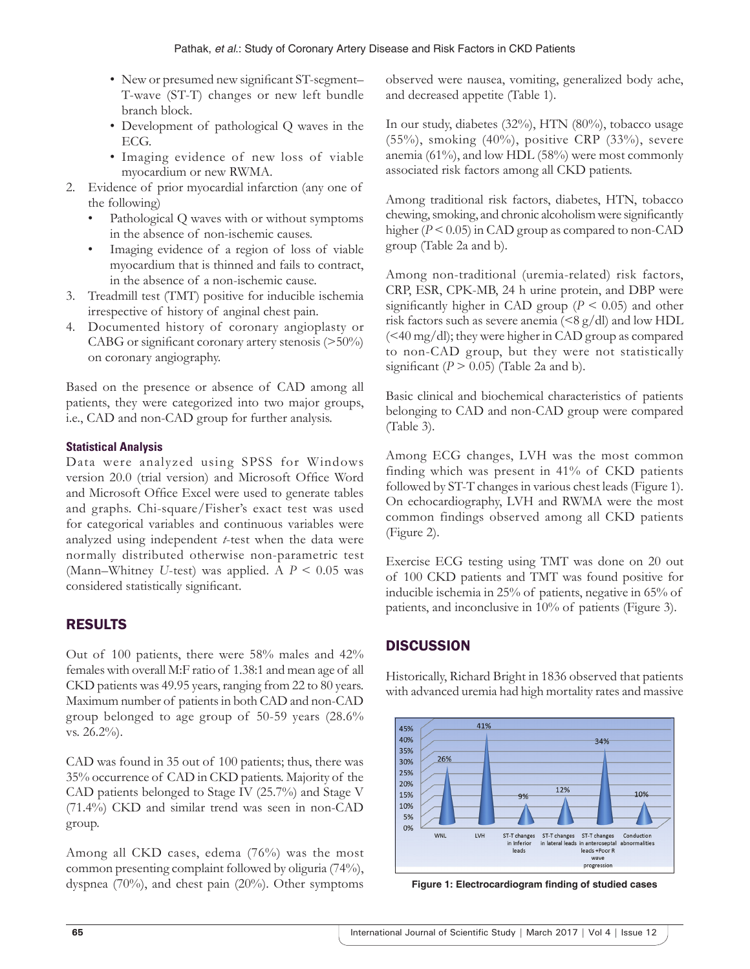- New or presumed new significant ST-segment– T-wave (ST-T) changes or new left bundle branch block.
- Development of pathological Q waves in the ECG.
- Imaging evidence of new loss of viable myocardium or new RWMA.
- 2. Evidence of prior myocardial infarction (any one of the following)
	- Pathological Q waves with or without symptoms in the absence of non-ischemic causes.
	- Imaging evidence of a region of loss of viable myocardium that is thinned and fails to contract, in the absence of a non-ischemic cause.
- 3. Treadmill test (TMT) positive for inducible ischemia irrespective of history of anginal chest pain.
- 4. Documented history of coronary angioplasty or CABG or significant coronary artery stenosis (>50%) on coronary angiography.

Based on the presence or absence of CAD among all patients, they were categorized into two major groups, i.e., CAD and non-CAD group for further analysis.

## **Statistical Analysis**

Data were analyzed using SPSS for Windows version 20.0 (trial version) and Microsoft Office Word and Microsoft Office Excel were used to generate tables and graphs. Chi-square/Fisher's exact test was used for categorical variables and continuous variables were analyzed using independent *t*-test when the data were normally distributed otherwise non-parametric test (Mann–Whitney *U*-test) was applied. A *P* < 0.05 was considered statistically significant.

# RESULTS

Out of 100 patients, there were 58% males and 42% females with overall M:F ratio of 1.38:1 and mean age of all CKD patients was 49.95 years, ranging from 22 to 80 years. Maximum number of patients in both CAD and non-CAD group belonged to age group of 50-59 years (28.6% vs. 26.2%).

CAD was found in 35 out of 100 patients; thus, there was 35% occurrence of CAD in CKD patients. Majority of the CAD patients belonged to Stage IV (25.7%) and Stage V (71.4%) CKD and similar trend was seen in non-CAD group.

Among all CKD cases, edema (76%) was the most common presenting complaint followed by oliguria (74%), dyspnea (70%), and chest pain (20%). Other symptoms

observed were nausea, vomiting, generalized body ache, and decreased appetite (Table 1).

In our study, diabetes (32%), HTN (80%), tobacco usage (55%), smoking (40%), positive CRP (33%), severe anemia (61%), and low HDL (58%) were most commonly associated risk factors among all CKD patients.

Among traditional risk factors, diabetes, HTN, tobacco chewing, smoking, and chronic alcoholism were significantly higher ( $P < 0.05$ ) in CAD group as compared to non-CAD group (Table 2a and b).

Among non-traditional (uremia-related) risk factors, CRP, ESR, CPK-MB, 24 h urine protein, and DBP were significantly higher in CAD group ( $P \le 0.05$ ) and other risk factors such as severe anemia  $(<8 g/dl$ ) and low HDL (<40 mg/dl); they were higher in CAD group as compared to non-CAD group, but they were not statistically significant  $(P > 0.05)$  (Table 2a and b).

Basic clinical and biochemical characteristics of patients belonging to CAD and non-CAD group were compared (Table 3).

Among ECG changes, LVH was the most common finding which was present in 41% of CKD patients followed by ST-T changes in various chest leads (Figure 1). On echocardiography, LVH and RWMA were the most common findings observed among all CKD patients (Figure 2).

Exercise ECG testing using TMT was done on 20 out of 100 CKD patients and TMT was found positive for inducible ischemia in 25% of patients, negative in 65% of patients, and inconclusive in 10% of patients (Figure 3).

# **DISCUSSION**

Historically, Richard Bright in 1836 observed that patients with advanced uremia had high mortality rates and massive



**Figure 1: Electrocardiogram finding of studied cases**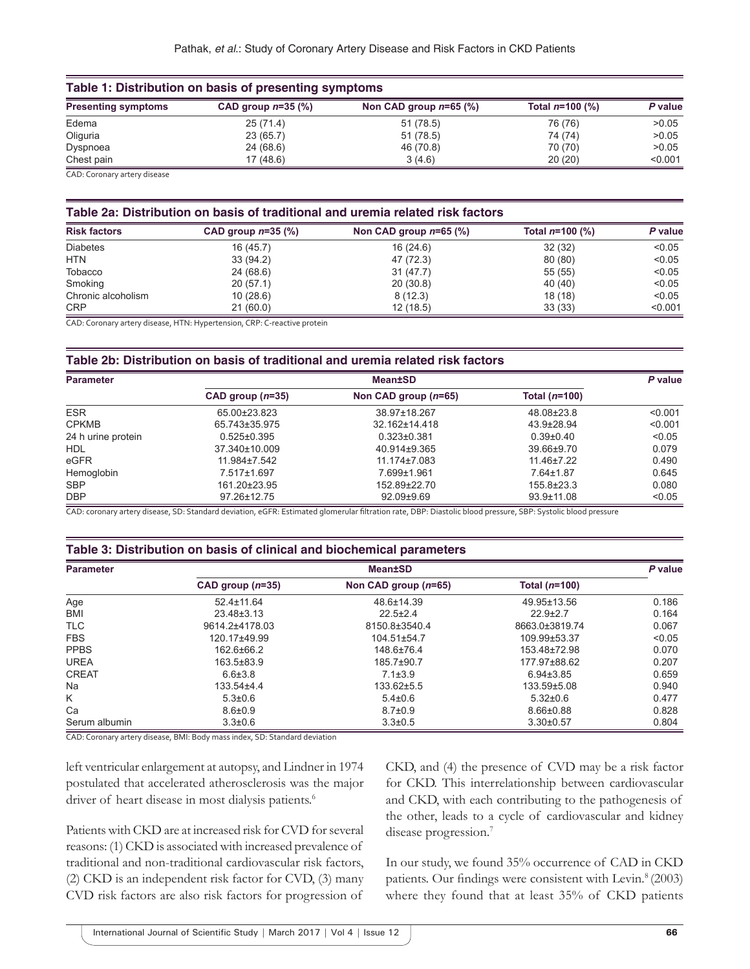| Table 1: Distribution on basis of presenting symptoms |                      |                          |                   |         |
|-------------------------------------------------------|----------------------|--------------------------|-------------------|---------|
| <b>Presenting symptoms</b>                            | CAD group $n=35$ (%) | Non CAD group $n=65$ (%) | Total $n=100$ (%) | P value |
| Edema                                                 | 25(71.4)             | 51 (78.5)                | 76 (76)           | >0.05   |
| Oliguria                                              | 23 (65.7)            | 51 (78.5)                | 74 (74)           | >0.05   |
| Dyspnoea                                              | 24 (68.6)            | 46 (70.8)                | 70 (70)           | >0.05   |
| Chest pain                                            | 17(48.6)             | 3(4.6)                   | 20(20)            | < 0.001 |
| CAD. Coronaniartoni dicoaco                           |                      |                          |                   |         |

CAD: Coronary artery disease

#### **Table 2a: Distribution on basis of traditional and uremia related risk factors**

| <b>Risk factors</b> | CAD group $n=35$ (%) | Non CAD group $n=65$ (%) | Total $n=100$ (%) | P value |
|---------------------|----------------------|--------------------------|-------------------|---------|
| <b>Diabetes</b>     | 16(45.7)             | 16(24.6)                 | 32(32)            | < 0.05  |
| <b>HTN</b>          | 33(94.2)             | 47 (72.3)                | 80 (80)           | < 0.05  |
| Tobacco             | 24 (68.6)            | 31 (47.7)                | 55(55)            | < 0.05  |
| Smoking             | 20(57.1)             | 20(30.8)                 | 40 (40)           | < 0.05  |
| Chronic alcoholism  | 10(28.6)             | 8(12.3)                  | 18 (18)           | < 0.05  |
| <b>CRP</b>          | 21(60.0)             | 12(18.5)                 | 33(33)            | < 0.001 |

CAD: Coronary artery disease, HTN: Hypertension, CRP: C‑reactive protein

#### **Table 2b: Distribution on basis of traditional and uremia related risk factors**

| <b>Parameter</b>   | <b>Mean±SD</b>     |                        |                  | P value |
|--------------------|--------------------|------------------------|------------------|---------|
|                    | CAD group $(n=35)$ | Non CAD group $(n=65)$ | Total $(n=100)$  |         |
| <b>ESR</b>         | 65.00±23.823       | 38.97±18.267           | 48.08±23.8       | < 0.001 |
| <b>CPKMB</b>       | 65.743±35.975      | 32.162±14.418          | 43.9±28.94       | < 0.001 |
| 24 h urine protein | $0.525 \pm 0.395$  | $0.323 \pm 0.381$      | $0.39 + 0.40$    | < 0.05  |
| <b>HDL</b>         | 37.340±10.009      | 40.914±9.365           | 39.66±9.70       | 0.079   |
| eGFR               | $11.984 \pm 7.542$ | 11.174±7.083           | $11.46 \pm 7.22$ | 0.490   |
| Hemoglobin         | 7.517±1.697        | 7.699±1.961            | $7.64 \pm 1.87$  | 0.645   |
| <b>SBP</b>         | 161.20±23.95       | 152.89±22.70           | 155.8±23.3       | 0.080   |
| <b>DBP</b>         | 97.26±12.75        | 92.09±9.69             | 93.9±11.08       | < 0.05  |

CAD: coronary artery disease, SD: Standard deviation, eGFR: Estimated glomerular filtration rate, DBP: Diastolic blood pressure, SBP: Systolic blood pressure

#### **Table 3: Distribution on basis of clinical and biochemical parameters**

| <b>Parameter</b> |                    | <b>Mean±SD</b>         |                 |        |
|------------------|--------------------|------------------------|-----------------|--------|
|                  | CAD group $(n=35)$ | Non CAD group $(n=65)$ | Total $(n=100)$ |        |
| Age              | 52.4±11.64         | 48.6±14.39             | 49.95±13.56     | 0.186  |
| <b>BMI</b>       | $23.48 \pm 3.13$   | $22.5+2.4$             | $22.9 + 2.7$    | 0.164  |
| <b>TLC</b>       | 9614.2±4178.03     | 8150.8±3540.4          | 8663.0±3819.74  | 0.067  |
| <b>FBS</b>       | 120.17±49.99       | 104.51±54.7            | 109.99±53.37    | < 0.05 |
| <b>PPBS</b>      | 162.6±66.2         | 148.6±76.4             | 153.48±72.98    | 0.070  |
| <b>UREA</b>      | 163.5±83.9         | 185.7±90.7             | 177.97±88.62    | 0.207  |
| <b>CREAT</b>     | $6.6 \pm 3.8$      | $7.1 \pm 3.9$          | $6.94\pm3.85$   | 0.659  |
| Na               | $133.54 + 4.4$     | 133.62±5.5             | 133.59±5.08     | 0.940  |
| K                | $5.3 \pm 0.6$      | $5.4{\pm}0.6$          | $5.32 \pm 0.6$  | 0.477  |
| Ca               | $8.6 \pm 0.9$      | $8.7 \pm 0.9$          | $8.66 \pm 0.88$ | 0.828  |
| Serum albumin    | $3.3 \pm 0.6$      | $3.3 \pm 0.5$          | $3.30\pm0.57$   | 0.804  |

CAD: Coronary artery disease, BMI: Body mass index, SD: Standard deviation

left ventricular enlargement at autopsy, and Lindner in 1974 postulated that accelerated atherosclerosis was the major driver of heart disease in most dialysis patients.<sup>6</sup>

Patients with CKD are at increased risk for CVD for several reasons: (1) CKD is associated with increased prevalence of traditional and non-traditional cardiovascular risk factors, (2) CKD is an independent risk factor for CVD, (3) many CVD risk factors are also risk factors for progression of CKD, and (4) the presence of CVD may be a risk factor for CKD. This interrelationship between cardiovascular and CKD, with each contributing to the pathogenesis of the other, leads to a cycle of cardiovascular and kidney disease progression.<sup>7</sup>

In our study, we found 35% occurrence of CAD in CKD patients. Our findings were consistent with Levin*.* <sup>8</sup> (2003) where they found that at least 35% of CKD patients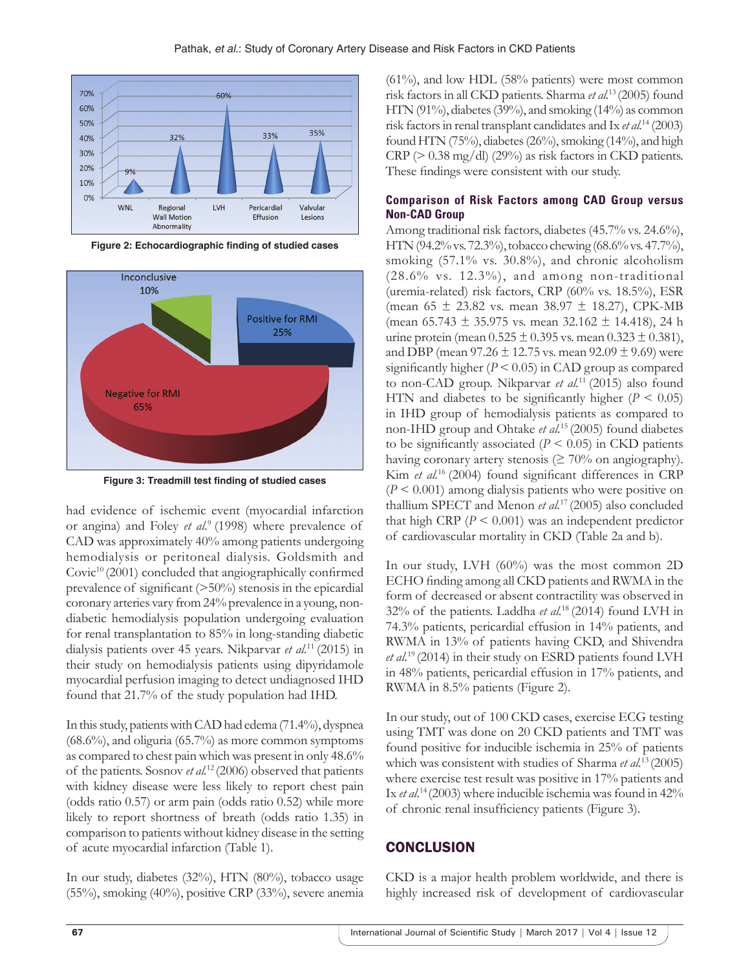

**Figure 2: Echocardiographic finding of studied cases**



**Figure 3: Treadmill test finding of studied cases**

had evidence of ischemic event (myocardial infarction or angina) and Foley *et al.*<sup>9</sup> (1998) where prevalence of CAD was approximately 40% among patients undergoing hemodialysis or peritoneal dialysis. Goldsmith and Covic<sup>10</sup> (2001) concluded that angiographically confirmed prevalence of significant  $(>=50\%)$  stenosis in the epicardial coronary arteries vary from 24% prevalence in a young, nondiabetic hemodialysis population undergoing evaluation for renal transplantation to 85% in long-standing diabetic dialysis patients over 45 years. Nikparvar *et al.*<sup>11</sup> (2015) in their study on hemodialysis patients using dipyridamole myocardial perfusion imaging to detect undiagnosed IHD found that 21.7% of the study population had IHD.

In this study, patients with CAD had edema (71.4%), dyspnea (68.6%), and oliguria (65.7%) as more common symptoms as compared to chest pain which was present in only 48.6% of the patients. Sosnov *et al.*<sup>12</sup> (2006) observed that patients with kidney disease were less likely to report chest pain (odds ratio 0.57) or arm pain (odds ratio 0.52) while more likely to report shortness of breath (odds ratio 1.35) in comparison to patients without kidney disease in the setting of acute myocardial infarction (Table 1).

In our study, diabetes (32%), HTN (80%), tobacco usage (55%), smoking (40%), positive CRP (33%), severe anemia (61%), and low HDL (58% patients) were most common risk factors in all CKD patients. Sharma *et al.*<sup>13</sup> (2005) found HTN (91%), diabetes (39%), and smoking (14%) as common risk factors in renal transplant candidates and Ix *et al.*<sup>14</sup> (2003) found HTN (75%), diabetes (26%), smoking (14%), and high  $CRP$  ( $> 0.38$  mg/dl) (29%) as risk factors in CKD patients. These findings were consistent with our study.

#### **Comparison of Risk Factors among CAD Group versus Non-CAD Group**

Among traditional risk factors, diabetes (45.7% vs. 24.6%), HTN (94.2% vs. 72.3%), tobacco chewing (68.6%vs. 47.7%), smoking (57.1% vs. 30.8%), and chronic alcoholism (28.6% vs. 12.3%), and among non-traditional (uremia-related) risk factors, CRP (60% vs. 18.5%), ESR (mean  $65 \pm 23.82$  vs. mean  $38.97 \pm 18.27$ ), CPK-MB (mean  $65.743 \pm 35.975$  vs. mean  $32.162 \pm 14.418$ ), 24 h urine protein (mean  $0.525 \pm 0.395$  vs. mean  $0.323 \pm 0.381$ ), and DBP (mean  $97.26 \pm 12.75$  vs. mean  $92.09 \pm 9.69$ ) were significantly higher  $(P < 0.05)$  in CAD group as compared to non-CAD group. Nikparvar *et al.*<sup>11</sup> (2015) also found HTN and diabetes to be significantly higher  $(P < 0.05)$ in IHD group of hemodialysis patients as compared to non-IHD group and Ohtake *et al.*<sup>15</sup> (2005) found diabetes to be significantly associated  $(P < 0.05)$  in CKD patients having coronary artery stenosis ( $\geq 70\%$  on angiography). Kim *et al.*<sup>16</sup> (2004) found significant differences in CRP (*P* < 0.001) among dialysis patients who were positive on thallium SPECT and Menon *et al.*<sup>17</sup> (2005) also concluded that high CRP  $(P < 0.001)$  was an independent predictor of cardiovascular mortality in CKD (Table 2a and b).

In our study, LVH (60%) was the most common 2D ECHO finding among all CKD patients and RWMA in the form of decreased or absent contractility was observed in 32% of the patients. Laddha *et al.*<sup>18</sup> (2014) found LVH in 74.3% patients, pericardial effusion in 14% patients, and RWMA in 13% of patients having CKD, and Shivendra *et al.*<sup>19</sup> (2014) in their study on ESRD patients found LVH in 48% patients, pericardial effusion in 17% patients, and RWMA in 8.5% patients (Figure 2).

In our study, out of 100 CKD cases, exercise ECG testing using TMT was done on 20 CKD patients and TMT was found positive for inducible ischemia in 25% of patients which was consistent with studies of Sharma *et al.*<sup>13</sup> (2005) where exercise test result was positive in 17% patients and Ix *et al*. <sup>14</sup> (2003) where inducible ischemia was found in 42% of chronic renal insufficiency patients (Figure 3).

# **CONCLUSION**

CKD is a major health problem worldwide, and there is highly increased risk of development of cardiovascular